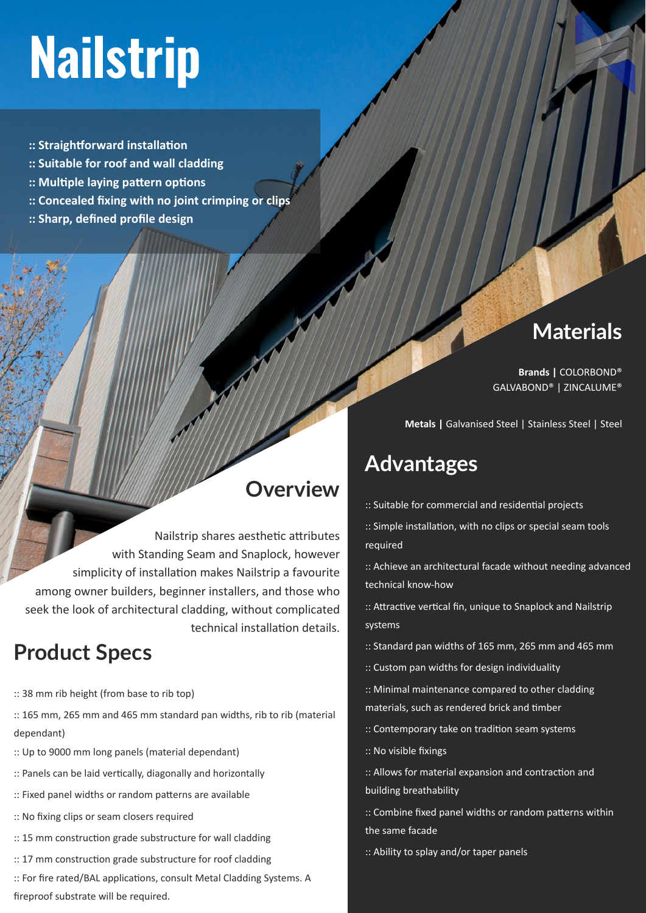# **Nailstrip**

- **:: Straightforward installation**
- **:: Suitable for roof and wall cladding**
- **:: Multiple laying pattern options**
- **:: Concealed fixing with no joint crimping or clips**
- **:: Sharp, defined profile design**

#### **Materials**

**Brands |** COLORBOND® GALVABOND® | ZINCALUME®

**Metals |** Galvanised Steel | Stainless Steel | Steel

### **Advantages**

- :: Suitable for commercial and residential projects
- :: Simple installation, with no clips or special seam tools required
- :: Achieve an architectural facade without needing advanced technical know-how
- :: Attractive vertical fin, unique to Snaplock and Nailstrip systems
- :: Standard pan widths of 165 mm, 265 mm and 465 mm
- :: Custom pan widths for design individuality
- :: Minimal maintenance compared to other cladding materials, such as rendered brick and timber
- :: Contemporary take on tradition seam systems
- :: No visible fixings
- :: Allows for material expansion and contraction and building breathability
- :: Combine fixed panel widths or random patterns within the same facade
- :: Ability to splay and/or taper panels

## **Overview**

Nailstrip shares aesthetic attributes with Standing Seam and Snaplock, however simplicity of installation makes Nailstrip a favourite among owner builders, beginner installers, and those who seek the look of architectural cladding, without complicated technical installation details.

### **Product Specs**

- :: 38 mm rib height (from base to rib top)
- :: 165 mm, 265 mm and 465 mm standard pan widths, rib to rib (material dependant)
- :: Up to 9000 mm long panels (material dependant)
- :: Panels can be laid vertically, diagonally and horizontally
- :: Fixed panel widths or random patterns are available
- :: No fixing clips or seam closers required
- :: 15 mm construction grade substructure for wall cladding
- :: 17 mm construction grade substructure for roof cladding
- :: For fire rated/BAL applications, consult Metal Cladding Systems. A fireproof substrate will be required.